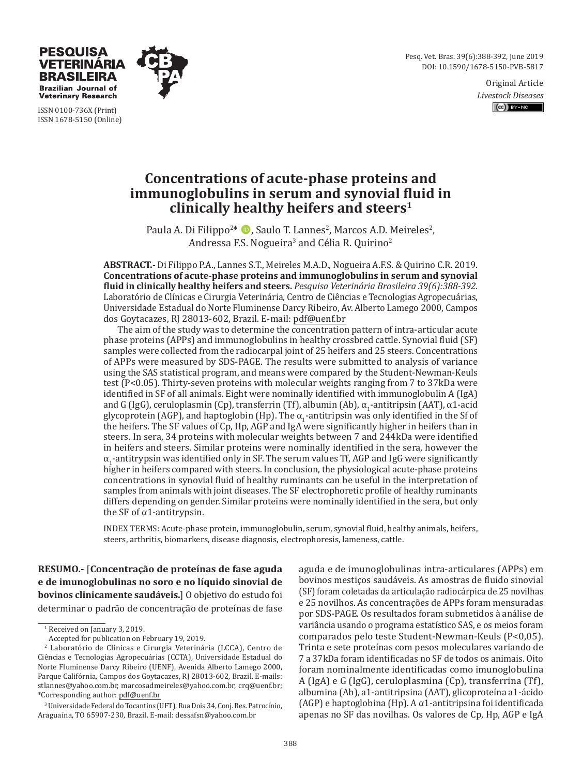Pesq. Vet. Bras. 39(6):388-392, June 2019 DOI: 10.1590/1678-5150-PVB-5817

> Original Article *Livestock Diseases*  $(c)$  BY-NC



ISSN 0100-736X (Print) ISSN 1678-5150 (Online)

**TERINARIA BRASILEIRA Brazilian Journal of Veterinary Research** 

# **Concentrations of acute-phase proteins and immunoglobulins in serum and synovial fluid in clinically healthy heifers and steers1**

Paula A. Di Filippo<sup>2\*</sup> (D, Saulo T. Lannes<sup>2</sup>, Marcos A.D. Meireles<sup>2</sup>, Andressa F.S. Nogueira<sup>3</sup> and Célia R. Quirino<sup>2</sup>

**ABSTRACT.-** Di Filippo P.A., Lannes S.T., Meireles M.A.D., Nogueira A.F.S. & Quirino C.R. 2019. **Concentrations of acute-phase proteins and immunoglobulins in serum and synovial fluid in clinically healthy heifers and steers.** *Pesquisa Veterinária Brasileira 39(6):388-392.* Laboratório de Clínicas e Cirurgia Veterinária, Centro de Ciências e Tecnologias Agropecuárias, Universidade Estadual do Norte Fluminense Darcy Ribeiro, Av. Alberto Lamego 2000, Campos dos Goytacazes, RJ 28013-602, Brazil. E-mail: pdf@uenf.br

The aim of the study was to determine the concentration pattern of intra-articular acute phase proteins (APPs) and immunoglobulins in healthy crossbred cattle. Synovial fluid (SF) samples were collected from the radiocarpal joint of 25 heifers and 25 steers. Concentrations of APPs were measured by SDS-PAGE. The results were submitted to analysis of variance using the SAS statistical program, and means were compared by the Student-Newman-Keuls test (P<0.05). Thirty-seven proteins with molecular weights ranging from 7 to 37kDa were identified in SF of all animals. Eight were nominally identified with immunoglobulin A (IgA) and G (IgG), ceruloplasmin (Cp), transferrin (Tf), albumin (Ab), α<sub>1</sub>-antitripsin (AAT), α1-acid glycoprotein (AGP), and haptoglobin (Hp). The  $\alpha_1$ -antitripsin was only identified in the Sf of the heifers. The SF values of Cp, Hp, AGP and IgA were significantly higher in heifers than in steers. In sera, 34 proteins with molecular weights between 7 and 244kDa were identified in heifers and steers. Similar proteins were nominally identified in the sera, however the  $\alpha_1$ -antitrypsin was identified only in SF. The serum values Tf, AGP and IgG were significantly higher in heifers compared with steers. In conclusion, the physiological acute-phase proteins concentrations in synovial fluid of healthy ruminants can be useful in the interpretation of samples from animals with joint diseases. The SF electrophoretic profile of healthy ruminants differs depending on gender. Similar proteins were nominally identified in the sera, but only the SF of  $\alpha$ 1-antitrypsin.

INDEX TERMS: Acute-phase protein, immunoglobulin, serum, synovial fluid, healthy animals, heifers, steers, arthritis, biomarkers, disease diagnosis, electrophoresis, lameness, cattle.

**RESUMO.-** [**Concentração de proteínas de fase aguda e de imunoglobulinas no soro e no líquido sinovial de bovinos clinicamente saudáveis.**] O objetivo do estudo foi determinar o padrão de concentração de proteínas de fase

1 Received on January 3, 2019.

Accepted for publication on February 19, 2019.

aguda e de imunoglobulinas intra-articulares (APPs) em bovinos mestiços saudáveis. As amostras de fluido sinovial (SF) foram coletadas da articulação radiocárpica de 25 novilhas e 25 novilhos. As concentrações de APPs foram mensuradas por SDS-PAGE. Os resultados foram submetidos à análise de variância usando o programa estatístico SAS, e os meios foram comparados pelo teste Student-Newman-Keuls (P<0,05). Trinta e sete proteínas com pesos moleculares variando de 7 a 37kDa foram identificadas no SF de todos os animais. Oito foram nominalmente identificadas como imunoglobulina A (IgA) e G (IgG), ceruloplasmina (Cp), transferrina (Tf), albumina (Ab), a1-antitripsina (AAT), glicoproteína a1-ácido (AGP) e haptoglobina (Hp). A  $\alpha$ 1-antitripsina foi identificada apenas no SF das novilhas. Os valores de Cp, Hp, AGP e IgA

<sup>2</sup> Laboratório de Clínicas e Cirurgia Veterinária (LCCA), Centro de Ciências e Tecnologias Agropecuárias (CCTA), Universidade Estadual do Norte Fluminense Darcy Ribeiro (UENF), Avenida Alberto Lamego 2000, Parque Califórnia, Campos dos Goytacazes, RJ 28013-602, Brazil. E-mails: stlannes@yahoo.com.br, marcosadmeireles@yahoo.com.br, crq@uenf.br; \*Corresponding author: pdf@uenf.br

<sup>3</sup> Universidade Federal do Tocantins (UFT), Rua Dois 34, Conj. Res. Patrocínio, Araguaína, TO 65907-230, Brazil. E-mail: dessafsn@yahoo.com.br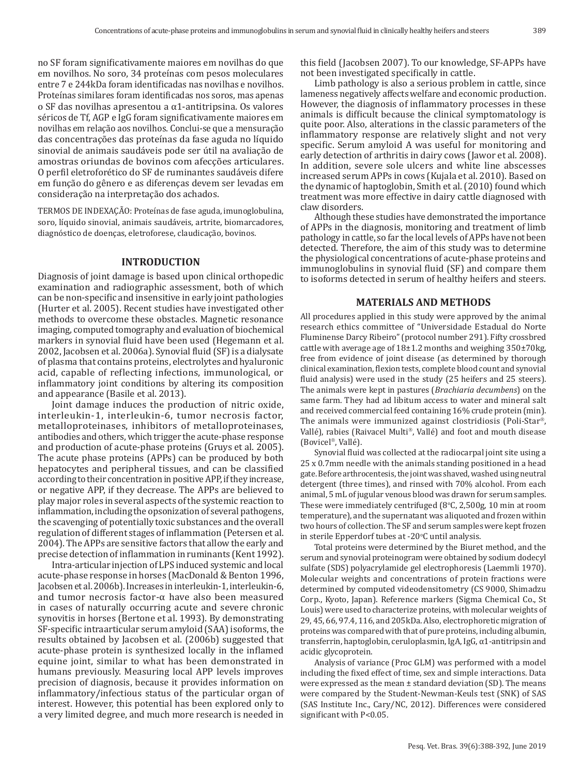no SF foram significativamente maiores em novilhas do que em novilhos. No soro, 34 proteínas com pesos moleculares entre 7 e 244kDa foram identificadas nas novilhas e novilhos. Proteínas similares foram identificadas nos soros, mas apenas o SF das novilhas apresentou a α1-antitripsina. Os valores séricos de Tf, AGP e IgG foram significativamente maiores em novilhas em relação aos novilhos. Conclui-se que a mensuração das concentrações das proteínas da fase aguda no líquido sinovial de animais saudáveis pode ser útil na avaliação de amostras oriundas de bovinos com afecções articulares. O perfil eletroforético do SF de ruminantes saudáveis difere em função do gênero e as diferenças devem ser levadas em consideração na interpretação dos achados.

TERMOS DE INDEXAÇÃO: Proteínas de fase aguda, imunoglobulina, soro, líquido sinovial, animais saudáveis, artrite, biomarcadores, diagnóstico de doenças, eletroforese, claudicação, bovinos.

#### **INTRODUCTION**

Diagnosis of joint damage is based upon clinical orthopedic examination and radiographic assessment, both of which can be non-specific and insensitive in early joint pathologies (Hurter et al. 2005). Recent studies have investigated other methods to overcome these obstacles. Magnetic resonance imaging, computed tomography and evaluation of biochemical markers in synovial fluid have been used (Hegemann et al. 2002, Jacobsen et al. 2006a). Synovial fluid (SF) is a dialysate of plasma that contains proteins, electrolytes and hyaluronic acid, capable of reflecting infections, immunological, or inflammatory joint conditions by altering its composition and appearance (Basile et al. 2013).

Joint damage induces the production of nitric oxide, interleukin-1, interleukin-6, tumor necrosis factor, metalloproteinases, inhibitors of metalloproteinases, antibodies and others, which trigger the acute-phase response and production of acute-phase proteins (Gruys et al. 2005). The acute phase proteins (APPs) can be produced by both hepatocytes and peripheral tissues, and can be classified according to their concentration in positive APP, if they increase, or negative APP, if they decrease. The APPs are believed to play major roles in several aspects of the systemic reaction to inflammation, including the opsonization of several pathogens, the scavenging of potentially toxic substances and the overall regulation of different stages of inflammation (Petersen et al. 2004). The APPs are sensitive factors that allow the early and precise detection of inflammation in ruminants (Kent 1992).

Intra-articular injection of LPS induced systemic and local acute-phase response in horses (MacDonald & Benton 1996, Jacobsen et al. 2006b). Increases in interleukin-1, interleukin-6, and tumor necrosis factor- $\alpha$  have also been measured in cases of naturally occurring acute and severe chronic synovitis in horses (Bertone et al. 1993). By demonstrating SF-specific intraarticular serum amyloid (SAA) isoforms, the results obtained by Jacobsen et al. (2006b) suggested that acute‑phase protein is synthesized locally in the inflamed equine joint, similar to what has been demonstrated in humans previously. Measuring local APP levels improves precision of diagnosis, because it provides information on inflammatory/infectious status of the particular organ of interest. However, this potential has been explored only to a very limited degree, and much more research is needed in this field (Jacobsen 2007). To our knowledge, SF-APPs have not been investigated specifically in cattle.

Limb pathology is also a serious problem in cattle, since lameness negatively affects welfare and economic production. However, the diagnosis of inflammatory processes in these animals is difficult because the clinical symptomatology is quite poor. Also, alterations in the classic parameters of the inflammatory response are relatively slight and not very specific. Serum amyloid A was useful for monitoring and early detection of arthritis in dairy cows (Jawor et al. 2008). In addition, severe sole ulcers and white line abscesses increased serum APPs in cows (Kujala et al. 2010). Based on the dynamic of haptoglobin, Smith et al. (2010) found which treatment was more effective in dairy cattle diagnosed with claw disorders.

Although these studies have demonstrated the importance of APPs in the diagnosis, monitoring and treatment of limb pathology in cattle, so far the local levels of APPs have not been detected. Therefore, the aim of this study was to determine the physiological concentrations of acute-phase proteins and immunoglobulins in synovial fluid (SF) and compare them to isoforms detected in serum of healthy heifers and steers.

# **MATERIALS AND METHODS**

All procedures applied in this study were approved by the animal research ethics committee of "Universidade Estadual do Norte Fluminense Darcy Ribeiro" (protocol number 291). Fifty crossbred cattle with average age of  $18\pm1.2$  months and weighing  $350\pm70$ kg, free from evidence of joint disease (as determined by thorough clinical examination, flexion tests, complete blood count and synovial fluid analysis) were used in the study (25 heifers and 25 steers). The animals were kept in pastures (*Brachiaria decumbens*) on the same farm. They had ad libitum access to water and mineral salt and received commercial feed containing 16% crude protein (min). The animals were immunized against clostridiosis (Poli-Star®, Vallé), rabies (Raivacel Multi®, Vallé) and foot and mouth disease (Bovicel<sup>®</sup>, Vallé).

Synovial fluid was collected at the radiocarpal joint site using a 25 x 0.7mm needle with the animals standing positioned in a head gate. Before arthrocentesis, the joint was shaved, washed using neutral detergent (three times), and rinsed with 70% alcohol. From each animal, 5 mL of jugular venous blood was drawn for serum samples. These were immediately centrifuged ( $8^{\circ}$ C, 2,500g, 10 min at room temperature), and the supernatant was aliquoted and frozen within two hours of collection. The SF and serum samples were kept frozen in sterile Epperdorf tubes at -20°C until analysis.

Total proteins were determined by the Biuret method, and the serum and synovial proteinogram were obtained by sodium dodecyl sulfate (SDS) polyacrylamide gel electrophoresis (Laemmli 1970). Molecular weights and concentrations of protein fractions were determined by computed videodensitometry (CS 9000, Shimadzu Corp., Kyoto, Japan). Reference markers (Sigma Chemical Co., St Louis) were used to characterize proteins, with molecular weights of 29, 45, 66, 97.4, 116, and 205kDa. Also, electrophoretic migration of proteins was compared with that of pure proteins, including albumin, transferrin, haptoglobin, ceruloplasmin, IgA, IgG, α1-antitripsin and acidic glycoprotein.

Analysis of variance (Proc GLM) was performed with a model including the fixed effect of time, sex and simple interactions. Data were expressed as the mean ± standard deviation (SD). The means were compared by the Student-Newman-Keuls test (SNK) of SAS (SAS Institute Inc., Cary/NC, 2012). Differences were considered significant with P<0.05.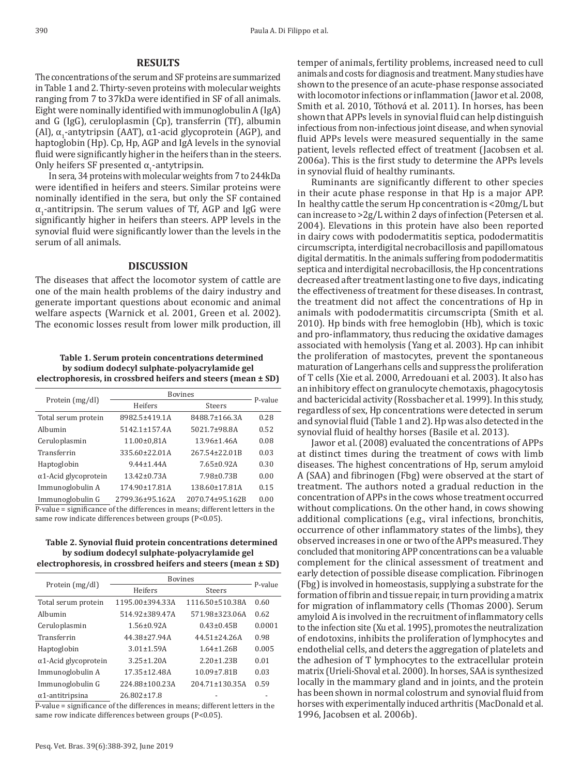# **RESULTS**

The concentrations of the serum and SF proteins are summarized in Table 1 and 2. Thirty-seven proteins with molecular weights ranging from 7 to 37kDa were identified in SF of all animals. Eight were nominally identified with immunoglobulin A (IgA) and G (IgG), ceruloplasmin (Cp), transferrin (Tf), albumin (Al),  $\alpha_1$ -antytripsin (AAT), α1-acid glycoprotein (AGP), and haptoglobin (Hp). Cp, Hp, AGP and IgA levels in the synovial fluid were significantly higher in the heifers than in the steers. Only heifers SF presented  $α_1$ -antytripsin.

In sera, 34 proteins with molecular weights from 7 to 244kDa were identified in heifers and steers. Similar proteins were nominally identified in the sera, but only the SF contained  $\alpha_1$ -antitripsin. The serum values of Tf, AGP and IgG were significantly higher in heifers than steers. APP levels in the synovial fluid were significantly lower than the levels in the serum of all animals.

#### **DISCUSSION**

The diseases that affect the locomotor system of cattle are one of the main health problems of the dairy industry and generate important questions about economic and animal welfare aspects (Warnick et al. 2001, Green et al. 2002). The economic losses result from lower milk production, ill

## **Table 1. Serum protein concentrations determined by sodium dodecyl sulphate-polyacrylamide gel electrophoresis, in crossbred heifers and steers (mean ± SD)**

| Protein (mg/dl)              | <b>Bovines</b>       |                    | P-value |
|------------------------------|----------------------|--------------------|---------|
|                              | Heifers              | <b>Steers</b>      |         |
| Total serum protein          | 8982.5±419.1A        | 8488.7±166.3A      | 0.28    |
| Albumin                      | $5142.1 \pm 157.4$ A | 5021.7±98.8A       | 0.52    |
| Ceruloplasmin                | 11.00±0,81A          | $13.96 \pm 1.46$ A | 0.08    |
| Transferrin                  | 335.60±22.01A        | 267.54±22.01B      | 0.03    |
| Haptoglobin                  | $9.44 \pm 1.44$ A    | $7.65 \pm 0.92A$   | 0.30    |
| $\alpha$ 1-Acid glycoprotein | $13.42 \pm 0.73A$    | 7.98±0.73B         | 0.00    |
| Immunoglobulin A             | 174.90±17.81A        | 138.60±17.81A      | 0.15    |
| Immunoglobulin G             | 2799.36±95.162A      | 2070.74±95.162B    | 0.00    |
|                              |                      |                    |         |

P-value = significance of the differences in means; different letters in the same row indicate differences between groups (P<0.05).

**Table 2. Synovial fluid protein concentrations determined by sodium dodecyl sulphate-polyacrylamide gel electrophoresis, in crossbred heifers and steers (mean ± SD)**

|                              | <b>Bovines</b>      |                       |         |
|------------------------------|---------------------|-----------------------|---------|
| Protein (mg/dl)              | Heifers             | Steers                | P-value |
| Total serum protein          | 1195.00±394.33A     | 1116.50±510.38A       | 0.60    |
| Albumin                      | 514.92±389.47A      | 571.98±323.06A        | 0.62    |
| Ceruloplasmin                | $1.56 \pm 0.92$ A   | $0.43 \pm 0.45B$      | 0.0001  |
| Transferrin                  | 44.38±27.94A        | $44.51 + 24.26A$      | 0.98    |
| Haptoglobin                  | $3.01 \pm 1.59$ A   | $1.64 \pm 1.26B$      | 0.005   |
| $\alpha$ 1-Acid glycoprotein | $3.25 + 1.20A$      | $2.20 + 1.23B$        | 0.01    |
| Immunoglobulin A             | $17.35 \pm 12.48$ A | $10.09 \pm 7.81B$     | 0.03    |
| Immunoglobulin G             | 224.88±100.23A      | $204.71 \pm 130.35$ A | 0.59    |
| $\alpha$ 1-antitripsina      | $26.802 \pm 17.8$   |                       |         |

P-value = significance of the differences in means; different letters in the same row indicate differences between groups (P<0.05).

temper of animals, fertility problems, increased need to cull animals and costs for diagnosis and treatment. Many studies have shown to the presence of an acute-phase response associated with locomotor infections or inflammation (Jawor et al. 2008, Smith et al. 2010, Tóthová et al. 2011). In horses, has been shown that APPs levels in synovial fluid can help distinguish infectious from non-infectious joint disease, and when synovial fluid APPs levels were measured sequentially in the same patient, levels reflected effect of treatment (Jacobsen et al. 2006a). This is the first study to determine the APPs levels in synovial fluid of healthy ruminants.

Ruminants are significantly different to other species in their acute phase response in that Hp is a major APP. In healthy cattle the serum Hp concentration is <20mg/L but can increase to >2g/L within 2 days of infection (Petersen et al. 2004). Elevations in this protein have also been reported in dairy cows with pododermatitis septica, pododermatitis circumscripta, interdigital necrobacillosis and papillomatous digital dermatitis. In the animals suffering from pododermatitis septica and interdigital necrobacillosis, the Hp concentrations decreased after treatment lasting one to five days, indicating the effectiveness of treatment for these diseases. In contrast, the treatment did not affect the concentrations of Hp in animals with pododermatitis circumscripta (Smith et al. 2010). Hp binds with free hemoglobin (Hb), which is toxic and pro-inflammatory, thus reducing the oxidative damages associated with hemolysis (Yang et al. 2003). Hp can inhibit the proliferation of mastocytes, prevent the spontaneous maturation of Langerhans cells and suppress the proliferation of T cells (Xie et al. 2000, Arredouani et al. 2003). It also has an inhibitory effect on granulocyte chemotaxis, phagocytosis and bactericidal activity (Rossbacher et al. 1999). In this study, regardless of sex, Hp concentrations were detected in serum and synovial fluid (Table 1 and 2). Hp was also detected in the synovial fluid of healthy horses (Basile et al. 2013).

Jawor et al. (2008) evaluated the concentrations of APPs at distinct times during the treatment of cows with limb diseases. The highest concentrations of Hp, serum amyloid A (SAA) and fibrinogen (Fbg) were observed at the start of treatment. The authors noted a gradual reduction in the concentration of APPs in the cows whose treatment occurred without complications. On the other hand, in cows showing additional complications (e.g., viral infections, bronchitis, occurrence of other inflammatory states of the limbs), they observed increases in one or two of the APPs measured. They concluded that monitoring APP concentrations can be a valuable complement for the clinical assessment of treatment and early detection of possible disease complication. Fibrinogen (Fbg) is involved in homeostasis, supplying a substrate for the formation of fibrin and tissue repair, in turn providing a matrix for migration of inflammatory cells (Thomas 2000). Serum amyloid A is involved in the recruitment of inflammatory cells to the infection site (Xu et al. 1995), promotes the neutralization of endotoxins, inhibits the proliferation of lymphocytes and endothelial cells, and deters the aggregation of platelets and the adhesion of T lymphocytes to the extracellular protein matrix (Urieli-Shoval et al. 2000). In horses, SAA is synthesized locally in the mammary gland and in joints, and the protein has been shown in normal colostrum and synovial fluid from horses with experimentally induced arthritis (MacDonald et al. 1996, Jacobsen et al. 2006b).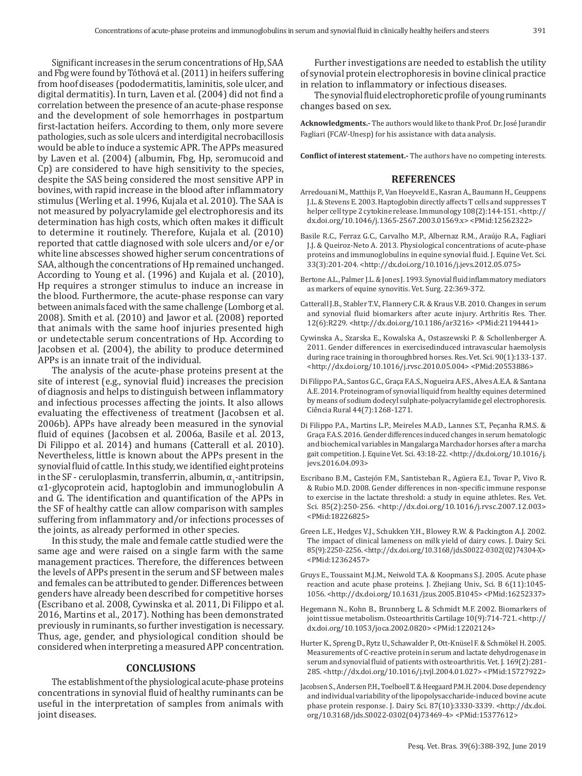Significant increases in the serum concentrations of Hp, SAA and Fbg were found by Tóthová et al. (2011) in heifers suffering from hoof diseases (pododermatitis, laminitis, sole ulcer, and digital dermatitis). In turn, Laven et al. (2004) did not find a correlation between the presence of an acute-phase response and the development of sole hemorrhages in postpartum first-lactation heifers. According to them, only more severe pathologies, such as sole ulcers and interdigital necrobacillosis would be able to induce a systemic APR. The APPs measured by Laven et al. (2004) (albumin, Fbg, Hp, seromucoid and Cp) are considered to have high sensitivity to the species, despite the SAS being considered the most sensitive APP in bovines, with rapid increase in the blood after inflammatory stimulus (Werling et al. 1996, Kujala et al. 2010). The SAA is not measured by polyacrylamide gel electrophoresis and its determination has high costs, which often makes it difficult to determine it routinely. Therefore, Kujala et al. (2010) reported that cattle diagnosed with sole ulcers and/or e/or white line abscesses showed higher serum concentrations of SAA, although the concentrations of Hp remained unchanged. According to Young et al. (1996) and Kujala et al. (2010), Hp requires a stronger stimulus to induce an increase in the blood. Furthermore, the acute-phase response can vary between animals faced with the same challenge (Lomborg et al. 2008). Smith et al. (2010) and Jawor et al. (2008) reported that animals with the same hoof injuries presented high or undetectable serum concentrations of Hp. According to Jacobsen et al. (2004), the ability to produce determined APPs is an innate trait of the individual.

The analysis of the acute-phase proteins present at the site of interest (e.g., synovial fluid) increases the precision of diagnosis and helps to distinguish between inflammatory and infectious processes affecting the joints. It also allows evaluating the effectiveness of treatment (Jacobsen et al. 2006b). APPs have already been measured in the synovial fluid of equines (Jacobsen et al. 2006a, Basile et al. 2013, Di Filippo et al. 2014) and humans (Catterall et al. 2010). Nevertheless, little is known about the APPs present in the synovial fluid of cattle. In this study, we identified eight proteins in the SF - ceruloplasmin, transferrin, albumin,  $\alpha_1$ -antitripsin, α1-glycoprotein acid, haptoglobin and immunoglobulin A and G. The identification and quantification of the APPs in the SF of healthy cattle can allow comparison with samples suffering from inflammatory and/or infections processes of the joints, as already performed in other species.

In this study, the male and female cattle studied were the same age and were raised on a single farm with the same management practices. Therefore, the differences between the levels of APPs present in the serum and SF between males and females can be attributed to gender. Differences between genders have already been described for competitive horses (Escribano et al. 2008, Cywinska et al. 2011, Di Filippo et al. 2016, Martins et al., 2017). Nothing has been demonstrated previously in ruminants, so further investigation is necessary. Thus, age, gender, and physiological condition should be considered when interpreting a measured APP concentration.

## **CONCLUSIONS**

The establishment of the physiological acute-phase proteins concentrations in synovial fluid of healthy ruminants can be useful in the interpretation of samples from animals with joint diseases.

Further investigations are needed to establish the utility of synovial protein electrophoresis in bovine clinical practice in relation to inflammatory or infectious diseases.

The synovial fluid electrophoretic profile of young ruminants changes based on sex.

**Acknowledgments.-** The authors would like to thank Prof. Dr. José Jurandir Fagliari (FCAV-Unesp) for his assistance with data analysis.

**Conflict of interest statement.-** The authors have no competing interests.

#### **REFERENCES**

- Arredouani M., Matthijs P., Van Hoeyveld E., Kasran A., Baumann H., Ceuppens J.L. & Stevens E. 2003. Haptoglobin directly affects T cells and suppresses T helper cell type 2 cytokine release. Immunology 108(2):144-151. [<http://](https://doi.org/10.1046/j.1365-2567.2003.01569.x) [dx.doi.org/10.1046/j.1365-2567.2003.01569.x>](https://doi.org/10.1046/j.1365-2567.2003.01569.x) [<PMid:12562322>](https://www.ncbi.nlm.nih.gov/entrez/query.fcgi?cmd=Retrieve&db=PubMed&list_uids=12562322&dopt=Abstract)
- Basile R.C., Ferraz G.C., Carvalho M.P., Albernaz R.M., Araújo R.A., Fagliari J.J. & Queiroz-Neto A. 2013. Physiological concentrations of acute-phase proteins and immunoglobulins in equine synovial fluid. J. Equine Vet. Sci. 33(3):201-204. [<http://dx.doi.org/10.1016/j.jevs.2012.05.075>](https://doi.org/10.1016/j.jevs.2012.05.075)
- Bertone A.L., Palmer J.L. & Jones J. 1993. Synovial fluid inflammatory mediators as markers of equine synovitis. Vet. Surg. 22:369-372.
- Catterall J.B., Stabler T.V., Flannery C.R. & Kraus V.B. 2010. Changes in serum and synovial fluid biomarkers after acute injury. Arthritis Res. Ther. 12(6):R229. [<http://dx.doi.org/10.1186/ar3216>](https://doi.org/10.1186/ar3216) [<PMid:21194441>](https://www.ncbi.nlm.nih.gov/entrez/query.fcgi?cmd=Retrieve&db=PubMed&list_uids=21194441&dopt=Abstract)
- Cywinska A., Szarska E., Kowalska A., Ostaszewski P. & Schollenberger A. 2011. Gender differences in exercisedinduced intravascular haemolysis during race training in thoroughbred horses. Res. Vet. Sci. 90(1):133-137. [<http://dx.doi.org/10.1016/j.rvsc.2010.05.004>](https://doi.org/10.1016/j.rvsc.2010.05.004) [<PMid:20553886>](https://www.ncbi.nlm.nih.gov/entrez/query.fcgi?cmd=Retrieve&db=PubMed&list_uids=20553886&dopt=Abstract)
- Di Filippo P.A., Santos G.C., Graça F.A.S., Nogueira A.F.S., Alves A.E.A. & Santana A.E. 2014. Proteinogram of synovial liquid from healthy equines determined by means of sodium dodecyl sulphate-polyacrylamide gel electrophoresis. Ciência Rural 44(7):1268-1271.
- Di Filippo P.A., Martins L.P., Meireles M.A.D., Lannes S.T., Peçanha R.M.S. & Graça F.A.S. 2016. Gender differences induced changes in serum hematologic and biochemical variables in Mangalarga Marchador horses after a marcha gait competition. J. Equine Vet. Sci. 43:18-22. [<http://dx.doi.org/10.1016/j.](https://doi.org/10.1016/j.jevs.2016.04.093) [jevs.2016.04.093>](https://doi.org/10.1016/j.jevs.2016.04.093)
- Escribano B.M., Castejón F.M., Santisteban R., Agüera E.I., Tovar P., Vivo R. & Rubio M.D. 2008. Gender differences in non-specific immune response to exercise in the lactate threshold: a study in equine athletes. Res. Vet. Sci. 85(2):250-256. [<http://dx.doi.org/10.1016/j.rvsc.2007.12.003>](https://doi.org/10.1016/j.rvsc.2007.12.003) [<PMid:18226825>](https://www.ncbi.nlm.nih.gov/entrez/query.fcgi?cmd=Retrieve&db=PubMed&list_uids=18226825&dopt=Abstract)
- Green L.E., Hedges V.J., Schukken Y.H., Blowey R.W. & Packington A.J. 2002. The impact of clinical lameness on milk yield of dairy cows. J. Dairy Sci. 85(9):2250-2256. <http://dx.doi.org/10.3168/jds.S0022-0302(02)74304-X> <PMid:12362457>
- Gruys E., Toussaint M.J.M., Neiwold T.A. & Koopmans S.J. 2005. Acute phase reaction and acute phase proteins. J. Zhejiang Univ., Sci. B 6(11):1045- 1056. [<http://dx.doi.org/10.1631/jzus.2005.B1045>](https://doi.org/10.1631/jzus.2005.B1045) [<PMid:16252337>](https://www.ncbi.nlm.nih.gov/entrez/query.fcgi?cmd=Retrieve&db=PubMed&list_uids=16252337&dopt=Abstract)
- Hegemann N., Kohn B., Brunnberg L. & Schmidt M.F. 2002. Biomarkers of joint tissue metabolism. Osteoarthritis Cartilage 10(9):714-721. [<http://](https://doi.org/10.1053/joca.2002.0820) [dx.doi.org/10.1053/joca.2002.0820>](https://doi.org/10.1053/joca.2002.0820) [<PMid:12202124>](https://www.ncbi.nlm.nih.gov/entrez/query.fcgi?cmd=Retrieve&db=PubMed&list_uids=12202124&dopt=Abstract)
- Hurter K., Spreng D., Rytz U., Schawalder P., Ott-Knüsel F. & Schmökel H. 2005. Measurements of C-reactive protein in serum and lactate dehydrogenase in serum and synovial fluid of patients with osteoarthritis. Vet. J. 169(2):281- 285. [<http://dx.doi.org/10.1016/j.tvjl.2004.01.027>](https://doi.org/10.1016/j.tvjl.2004.01.027) [<PMid:15727922>](https://www.ncbi.nlm.nih.gov/entrez/query.fcgi?cmd=Retrieve&db=PubMed&list_uids=15727922&dopt=Abstract)
- Jacobsen S., Andersen P.H., Toelboell T. & Heegaard P.M.H. 2004. Dose dependency and individual variability of the lipopolysaccharide-induced bovine acute phase protein response. J. Dairy Sci. 87(10):3330-3339. [<http://dx.doi.](https://doi.org/10.3168/jds.S0022-0302(04)73469-4) [org/10.3168/jds.S0022-0302\(04\)73469-4>](https://doi.org/10.3168/jds.S0022-0302(04)73469-4) [<PMid:15377612>](https://www.ncbi.nlm.nih.gov/entrez/query.fcgi?cmd=Retrieve&db=PubMed&list_uids=15377612&dopt=Abstract)